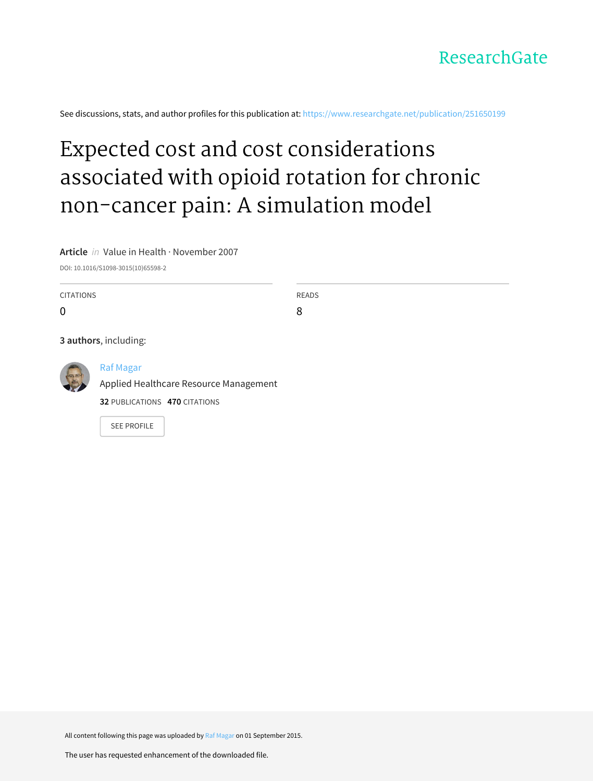

See discussions, stats, and author profiles for this publication at: [https://www.researchgate.net/publication/251650199](https://www.researchgate.net/publication/251650199_Expected_cost_and_cost_considerations_associated_with_opioid_rotation_for_chronic_non-cancer_pain_A_simulation_model?enrichId=rgreq-f1b6daa6c4be90c66da51efab544ad47-XXX&enrichSource=Y292ZXJQYWdlOzI1MTY1MDE5OTtBUzoyNjg5MDg0NTIxMTg1MjlAMTQ0MTEyNDE3OTQxOQ%3D%3D&el=1_x_2&_esc=publicationCoverPdf)

# Expected cost and cost [considerations](https://www.researchgate.net/publication/251650199_Expected_cost_and_cost_considerations_associated_with_opioid_rotation_for_chronic_non-cancer_pain_A_simulation_model?enrichId=rgreq-f1b6daa6c4be90c66da51efab544ad47-XXX&enrichSource=Y292ZXJQYWdlOzI1MTY1MDE5OTtBUzoyNjg5MDg0NTIxMTg1MjlAMTQ0MTEyNDE3OTQxOQ%3D%3D&el=1_x_3&_esc=publicationCoverPdf) associated with opioid rotation for chronic non-cancer pain: A simulation model

**Article** in Value in Health · November 2007

DOI: 10.1016/S1098-3015(10)65598-2

CITATIONS  $\Omega$ READS 8 **3 authors**, including: Raf [Magar](https://www.researchgate.net/profile/Raf_Magar2?enrichId=rgreq-f1b6daa6c4be90c66da51efab544ad47-XXX&enrichSource=Y292ZXJQYWdlOzI1MTY1MDE5OTtBUzoyNjg5MDg0NTIxMTg1MjlAMTQ0MTEyNDE3OTQxOQ%3D%3D&el=1_x_5&_esc=publicationCoverPdf) Applied Healthcare Resource [Management](https://www.researchgate.net/institution/Applied_Healthcare_Resource_Management?enrichId=rgreq-f1b6daa6c4be90c66da51efab544ad47-XXX&enrichSource=Y292ZXJQYWdlOzI1MTY1MDE5OTtBUzoyNjg5MDg0NTIxMTg1MjlAMTQ0MTEyNDE3OTQxOQ%3D%3D&el=1_x_6&_esc=publicationCoverPdf) **32** PUBLICATIONS **470** CITATIONS SEE [PROFILE](https://www.researchgate.net/profile/Raf_Magar2?enrichId=rgreq-f1b6daa6c4be90c66da51efab544ad47-XXX&enrichSource=Y292ZXJQYWdlOzI1MTY1MDE5OTtBUzoyNjg5MDg0NTIxMTg1MjlAMTQ0MTEyNDE3OTQxOQ%3D%3D&el=1_x_7&_esc=publicationCoverPdf)

All content following this page was uploaded by Raf [Magar](https://www.researchgate.net/profile/Raf_Magar2?enrichId=rgreq-f1b6daa6c4be90c66da51efab544ad47-XXX&enrichSource=Y292ZXJQYWdlOzI1MTY1MDE5OTtBUzoyNjg5MDg0NTIxMTg1MjlAMTQ0MTEyNDE3OTQxOQ%3D%3D&el=1_x_10&_esc=publicationCoverPdf) on 01 September 2015.